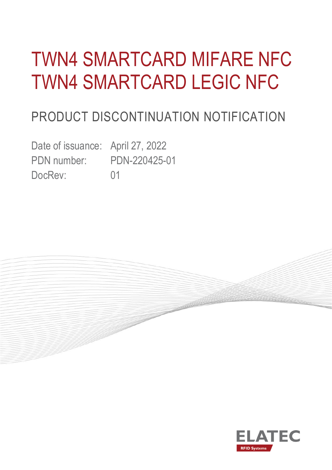# TWN4 SMARTCARD MIFARE NFC TWN4 SMARTCARD LEGIC NFC

# PRODUCT DISCONTINUATION NOTIFICATION

Date of issuance: April 27, 2022 PDN number: PDN-220425-01 DocRev: 01



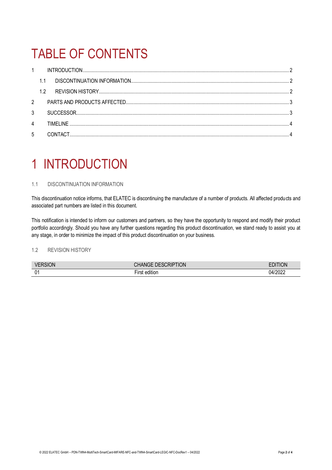# TABLE OF CONTENTS

| $\mathbf{1}$   |    |           |  |
|----------------|----|-----------|--|
|                |    |           |  |
|                | 12 |           |  |
| $2^{\circ}$    |    |           |  |
| 3              |    |           |  |
| $\overline{4}$ |    | TIMFI INF |  |
| 5              |    |           |  |

### <span id="page-1-0"></span>1 INTRODUCTION

### <span id="page-1-1"></span>1.1 DISCONTINUATION INFORMATION

This discontinuation notice informs, that ELATEC is discontinuing the manufacture of a number of products. All affected products and associated part numbers are listed in this document.

This notification is intended to inform our customers and partners, so they have the opportunity to respond and modify their product portfolio accordingly. Should you have any further questions regarding this product discontinuation, we stand ready to assist you at any stage, in order to minimize the impact of this product discontinuation on your business.

### <span id="page-1-2"></span>1.2 REVISION HISTORY

| VERSIO<br>- JN | tion<br><b>DESCRIP</b><br>™u - | ΊΟΝ          |
|----------------|--------------------------------|--------------|
| 01             | $\cdots$<br>edition            | /2022<br>η4ι |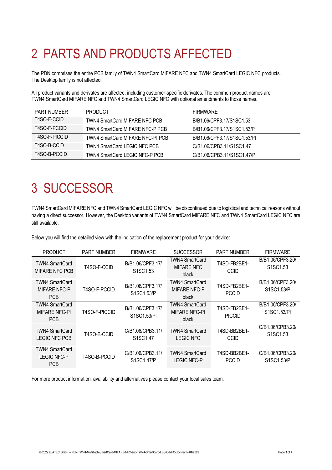# <span id="page-2-0"></span>2 PARTS AND PRODUCTS AFFECTED

The PDN comprises the entire PCB family of TWN4 SmartCard MIFARE NFC and TWN4 SmartCard LEGIC NFC products. The Desktop family is not affected.

All product variants and derivates are affected, including customer-specific derivates. The common product names are TWN4 SmartCard MIFARE NFC and TWN4 SmartCard LEGIC NFC with optional amendments to those names.

| <b>PART NUMBER</b> | <b>PRODUCT</b>                   | <b>FIRMWARE</b>             |
|--------------------|----------------------------------|-----------------------------|
| T4SO-F-CCID        | TWN4 SmartCard MIFARE NFC PCB    | B/B1.06/CPF3.17/S1SC1.53    |
| T4SO-F-PCCID       | TWN4 SmartCard MIFARE NFC-P PCB  | B/B1.06/CPF3.17/S1SC1.53/P  |
| T4SO-F-PICCID      | TWN4 SmartCard MIFARE NFC-PI PCB | B/B1.06/CPF3.17/S1SC1.53/PI |
| T4SO-B-CCID        | TWN4 SmartCard LEGIC NFC PCB     | C/B1.06/CPB3.11/S1SC1.47    |
| T4SO-B-PCCID       | TWN4 SmartCard LEGIC NFC-P PCB   | C/B1.06/CPB3.11/S1SC1.47/P  |

### <span id="page-2-1"></span>3 SUCCESSOR

TWN4 SmartCard MIFARE NFC and TWN4 SmartCard LEGIC NFC will be discontinued due to logistical and technical reasons without having a direct successor. However, the Desktop variants of TWN4 SmartCard MIFARE NFC and TWN4 SmartCard LEGIC NFC are still available.

Below you will find the detailed view with the indication of the replacement product for your device:

| <b>PRODUCT</b>                                       | <b>PART NUMBER</b> | <b>FIRMWARE</b>                                       | <b>SUCCESSOR</b>                                       | <b>PART NUMBER</b>            | <b>FIRMWARE</b>                                       |
|------------------------------------------------------|--------------------|-------------------------------------------------------|--------------------------------------------------------|-------------------------------|-------------------------------------------------------|
| <b>TWN4 SmartCard</b><br><b>MIFARE NFC PCB</b>       | T4SO-F-CCID        | B/B1.06/CPF3.17/<br>S <sub>1</sub> SC <sub>1.53</sub> | <b>TWN4 SmartCard</b><br><b>MIFARE NFC</b><br>black    | T4SD-FB2BE1-<br><b>CCID</b>   | B/B1.06/CPF3.20/<br>S1SC1.53                          |
| TWN4 SmartCard<br><b>MIFARE NFC-P</b><br>PCB         | T4SO-F-PCCID       | B/B1.06/CPF3.17/<br>S1SC1.53/P                        | <b>TWN4 SmartCard</b><br><b>MIFARE NFC-P</b><br>black  | T4SD-FB2BE1-<br><b>PCCID</b>  | B/B1.06/CPF3.20/<br>S1SC1.53/P                        |
| TWN4 SmartCard<br><b>MIFARE NFC-PI</b><br><b>PCB</b> | T4SO-F-PICCID      | B/B1.06/CPF3.17/<br>S1SC1.53/PI                       | <b>TWN4 SmartCard</b><br><b>MIFARE NFC-PI</b><br>black | T4SD-FB2BE1-<br><b>PICCID</b> | B/B1.06/CPF3.20/<br>S1SC1.53/PI                       |
| <b>TWN4 SmartCard</b><br>LEGIC NFC PCB               | T4SO-B-CCID        | C/B1.06/CPB3.11/<br>S <sub>1</sub> SC <sub>1.47</sub> | <b>TWN4 SmartCard</b><br><b>LEGIC NFC</b>              | T4SD-BB2BE1-<br><b>CCID</b>   | C/B1.06/CPB3.20/<br>S <sub>1</sub> SC <sub>1.53</sub> |
| TWN4 SmartCard<br>LEGIC NFC-P<br><b>PCB</b>          | T4SO-B-PCCID       | C/B1.06/CPB3.11/<br>S1SC1.47/P                        | <b>TWN4 SmartCard</b><br>LEGIC NFC-P                   | T4SD-BB2BE1-<br><b>PCCID</b>  | C/B1.06/CPB3.20/<br>S1SC1.53/P                        |

For more product information, availability and alternatives please contact your local sales team.